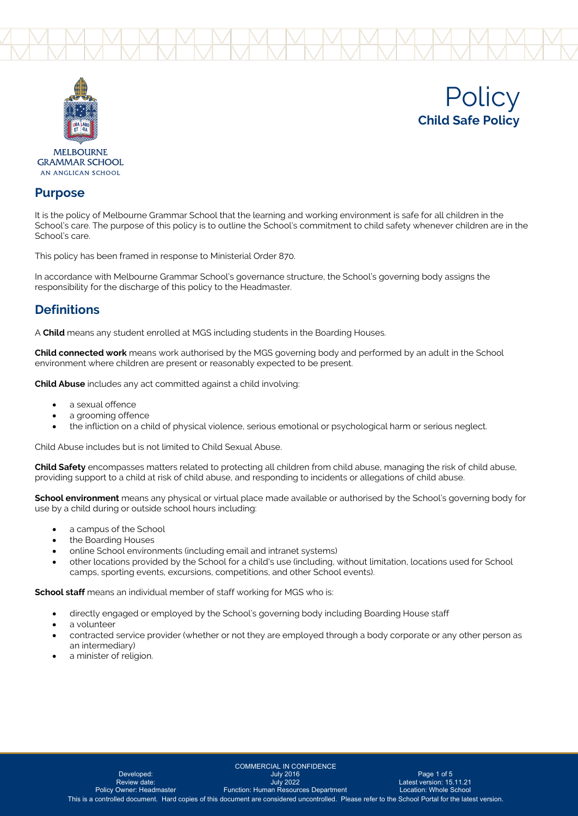



**Policy Child Safe Policy**

**GRAMMAR SCHOOL** AN ANGLICAN SCHOOL

### **Purpose**

It is the policy of Melbourne Grammar School that the learning and working environment is safe for all children in the School's care. The purpose of this policy is to outline the School's commitment to child safety whenever children are in the School's care.

This policy has been framed in response to Ministerial Order 870.

In accordance with Melbourne Grammar School's governance structure, the School's governing body assigns the responsibility for the discharge of this policy to the Headmaster.

### **Definitions**

A **Child** means any student enrolled at MGS including students in the Boarding Houses.

**Child connected work** means work authorised by the MGS governing body and performed by an adult in the School environment where children are present or reasonably expected to be present.

**Child Abuse** includes any act committed against a child involving:

- a sexual offence
- a grooming offence
- the infliction on a child of physical violence, serious emotional or psychological harm or serious neglect.

Child Abuse includes but is not limited to Child Sexual Abuse.

**Child Safety** encompasses matters related to protecting all children from child abuse, managing the risk of child abuse, providing support to a child at risk of child abuse, and responding to incidents or allegations of child abuse.

**School environment** means any physical or virtual place made available or authorised by the School's governing body for use by a child during or outside school hours including:

- a campus of the School
- the Boarding Houses
- online School environments (including email and intranet systems)
- other locations provided by the School for a child's use (including, without limitation, locations used for School camps, sporting events, excursions, competitions, and other School events).

**School staff** means an individual member of staff working for MGS who is:

- directly engaged or employed by the School's governing body including Boarding House staff
- a volunteer
- contracted service provider (whether or not they are employed through a body corporate or any other person as an intermediary)
- a minister of religion.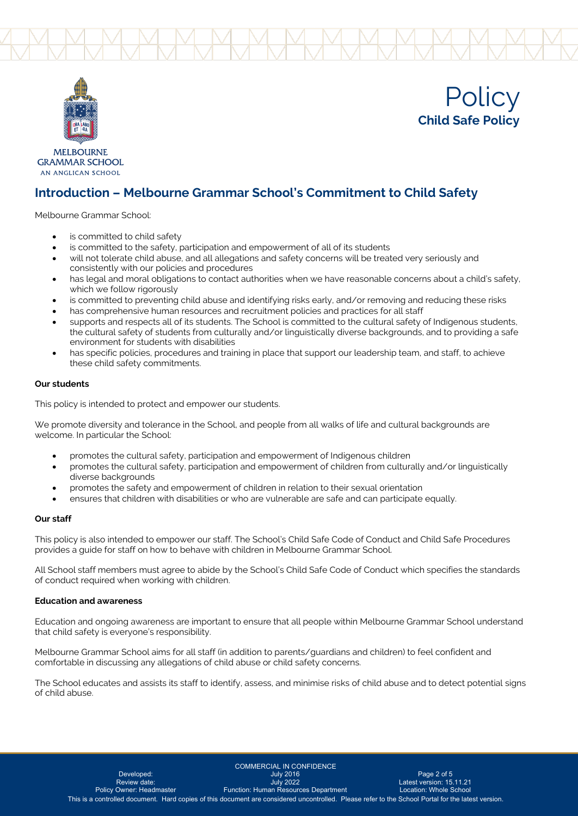





**MELBOURNE GRAMMAR SCHOOL** AN ANGLICAN SCHOOL

## **Introduction – Melbourne Grammar School's Commitment to Child Safety**

Melbourne Grammar School:

- is committed to child safety
- is committed to the safety, participation and empowerment of all of its students
- will not tolerate child abuse, and all allegations and safety concerns will be treated very seriously and consistently with our policies and procedures
- has legal and moral obligations to contact authorities when we have reasonable concerns about a child's safety, which we follow rigorously
- is committed to preventing child abuse and identifying risks early, and/or removing and reducing these risks
- has comprehensive human resources and recruitment policies and practices for all staff
- supports and respects all of its students. The School is committed to the cultural safety of Indigenous students, the cultural safety of students from culturally and/or linguistically diverse backgrounds, and to providing a safe environment for students with disabilities
- has specific policies, procedures and training in place that support our leadership team, and staff, to achieve these child safety commitments.

### **Our students**

This policy is intended to protect and empower our students.

We promote diversity and tolerance in the School, and people from all walks of life and cultural backgrounds are welcome. In particular the School:

- promotes the cultural safety, participation and empowerment of Indigenous children
- promotes the cultural safety, participation and empowerment of children from culturally and/or linguistically diverse backgrounds
- promotes the safety and empowerment of children in relation to their sexual orientation
- ensures that children with disabilities or who are vulnerable are safe and can participate equally.

### **Our staff**

This policy is also intended to empower our staff. The School's Child Safe Code of Conduct and Child Safe Procedures provides a guide for staff on how to behave with children in Melbourne Grammar School.

All School staff members must agree to abide by the School's Child Safe Code of Conduct which specifies the standards of conduct required when working with children.

#### **Education and awareness**

Education and ongoing awareness are important to ensure that all people within Melbourne Grammar School understand that child safety is everyone's responsibility.

Melbourne Grammar School aims for all staff (in addition to parents/guardians and children) to feel confident and comfortable in discussing any allegations of child abuse or child safety concerns.

The School educates and assists its staff to identify, assess, and minimise risks of child abuse and to detect potential signs of child abuse.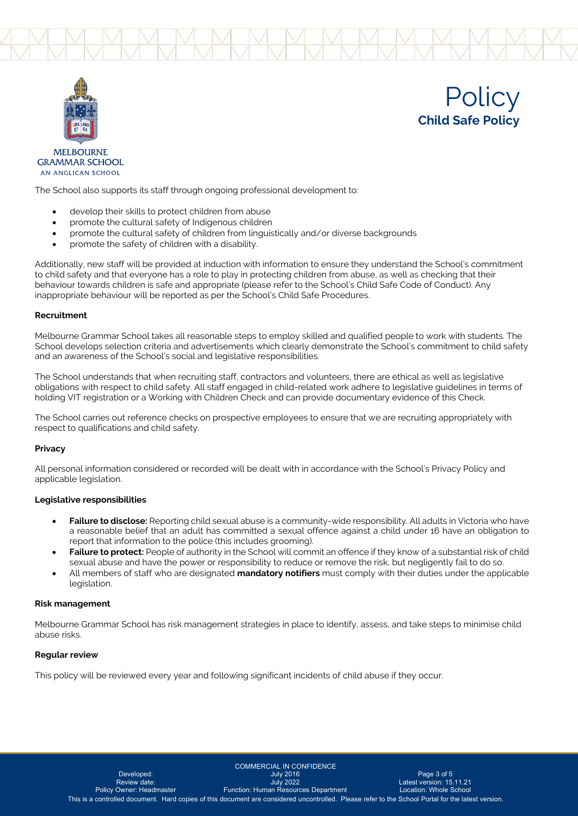





**MELBOURNE GRAMMAR SCHOOL** AN ANGLICAN SCHOOL

The School also supports its staff through ongoing professional development to:

- develop their skills to protect children from abuse
- promote the cultural safety of Indigenous children
- promote the cultural safety of children from linguistically and/or diverse backgrounds
- promote the safety of children with a disability.

Additionally, new staff will be provided at induction with information to ensure they understand the School's commitment to child safety and that everyone has a role to play in protecting children from abuse, as well as checking that their behaviour towards children is safe and appropriate (please refer to the School's Child Safe Code of Conduct). Any inappropriate behaviour will be reported as per the School's Child Safe Procedures.

#### **Recruitment**

Melbourne Grammar School takes all reasonable steps to employ skilled and qualified people to work with students. The School develops selection criteria and advertisements which clearly demonstrate the School's commitment to child safety and an awareness of the School's social and legislative responsibilities.

The School understands that when recruiting staff, contractors and volunteers, there are ethical as well as legislative obligations with respect to child safety. All staff engaged in child-related work adhere to legislative guidelines in terms of holding VIT registration or a Working with Children Check and can provide documentary evidence of this Check.

The School carries out reference checks on prospective employees to ensure that we are recruiting appropriately with respect to qualifications and child safety.

#### **Privacy**

All personal information considered or recorded will be dealt with in accordance with the School's Privacy Policy and applicable legislation.

#### **Legislative responsibilities**

- **Failure to disclose:** Reporting child sexual abuse is a community-wide responsibility. All adults in Victoria who have a reasonable belief that an adult has committed a sexual offence against a child under 16 have an obligation to report that information to the police (this includes grooming).
- **Failure to protect:** People of authority in the School will commit an offence if they know of a substantial risk of child sexual abuse and have the power or responsibility to reduce or remove the risk, but negligently fail to do so.
- All members of staff who are designated **mandatory notifiers** must comply with their duties under the applicable legislation.

#### **Risk management**

Melbourne Grammar School has risk management strategies in place to identify, assess, and take steps to minimise child abuse risks.

#### **Regular review**

This policy will be reviewed every year and following significant incidents of child abuse if they occur.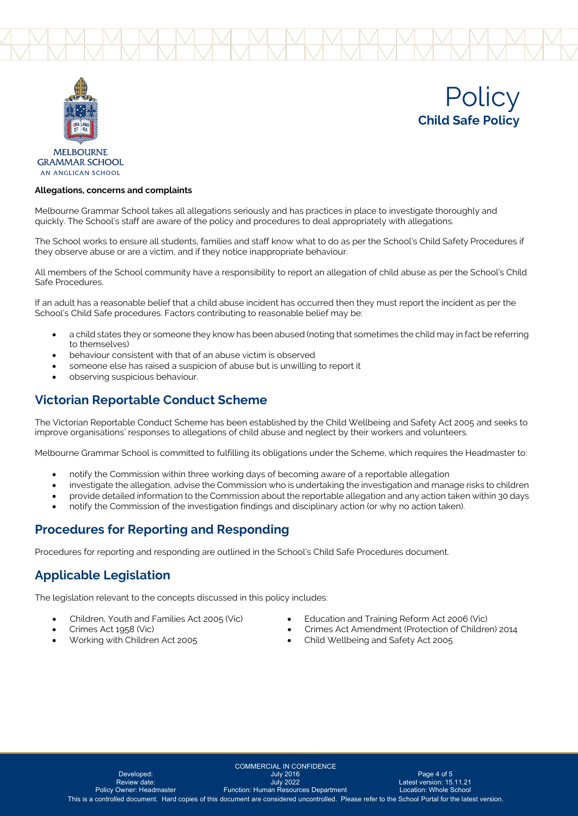





**GRAMMAR SCHOOL** AN ANGLICAN SCHOOL

### **Allegations, concerns and complaints**

Melbourne Grammar School takes all allegations seriously and has practices in place to investigate thoroughly and quickly. The School's staff are aware of the policy and procedures to deal appropriately with allegations.

The School works to ensure all students, families and staff know what to do as per the School's Child Safety Procedures if they observe abuse or are a victim, and if they notice inappropriate behaviour.

All members of the School community have a responsibility to report an allegation of child abuse as per the School's Child Safe Procedures.

If an adult has a reasonable belief that a child abuse incident has occurred then they must report the incident as per the School's Child Safe procedures. Factors contributing to reasonable belief may be:

- a child states they or someone they know has been abused (noting that sometimes the child may in fact be referring to themselves)
- behaviour consistent with that of an abuse victim is observed
- someone else has raised a suspicion of abuse but is unwilling to report it
- observing suspicious behaviour.

### **Victorian Reportable Conduct Scheme**

The Victorian Reportable Conduct Scheme has been established by the Child Wellbeing and Safety Act 2005 and seeks to improve organisations' responses to allegations of child abuse and neglect by their workers and volunteers.

Melbourne Grammar School is committed to fulfilling its obligations under the Scheme, which requires the Headmaster to:

- notify the Commission within three working days of becoming aware of a reportable allegation
- investigate the allegation, advise the Commission who is undertaking the investigation and manage risks to children
- provide detailed information to the Commission about the reportable allegation and any action taken within 30 days
- notify the Commission of the investigation findings and disciplinary action (or why no action taken).

### **Procedures for Reporting and Responding**

Procedures for reporting and responding are outlined in the School's Child Safe Procedures document.

### **Applicable Legislation**

The legislation relevant to the concepts discussed in this policy includes:

- 
- Children, Youth and Families Act 2005 (Vic) Education and Training Reform Act 2006 (Vic)
- 
- 
- Crimes Act 1958 (Vic) Crimes Act Amendment (Protection of Children) 2014
- Working with Children Act 2005 Child Wellbeing and Safety Act 2005